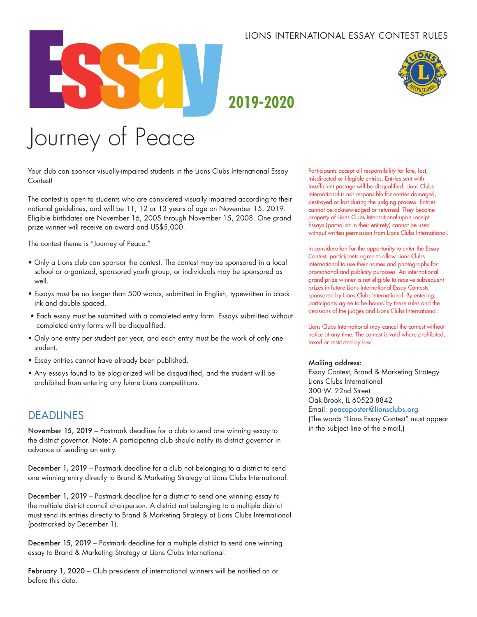#### LIONS INTERNATIONAL ESSAY CONTEST RULES



## **2019-2020**

# Journey of Peace

Your club can sponsor visually-impaired students in the Lions Clubs International Essay Contest!

The contest is open to students who are considered visually impaired according to their national guidelines, and will be 11, 12 or 13 years of age on November 15, 2019. Eligible birthdates are November 16, 2005 through November 15, 2008. One grand prize winner will receive an award and US\$5,000.

The contest theme is "Journey of Peace."

- Only a Lions club can sponsor the contest. The contest may be sponsored in a local school or organized, sponsored youth group, or individuals may be sponsored as well.
- Essays must be no longer than 500 words, submitted in English, typewritten in black ink and double spaced.
- Each essay must be submitted with a completed entry form. Essays submitted without completed entry forms will be disqualified.
- Only one entry per student per year, and each entry must be the work of only one student.
- Essay entries cannot have already been published.
- Any essays found to be plagiarized will be disqualified, and the student will be prohibited from entering any future Lions competitions.

### DEADLINES

November 15, 2019 – Postmark deadline for a club to send one winning essay to the district governor. Note: A participating club should notify its district governor in advance of sending an entry.

December 1, 2019 – Postmark deadline for a club not belonging to a district to send one winning entry directly to Brand & Marketing Strategy at Lions Clubs International.

December 1, 2019 – Postmark deadline for a district to send one winning essay to the multiple district council chairperson. A district not belonging to a multiple district must send its entries directly to Brand & Marketing Strategy at Lions Clubs International (postmarked by December 1).

December 15, 2019 – Postmark deadline for a multiple district to send one winning essay to Brand & Marketing Strategy at Lions Clubs International.

February 1, 2020 – Club presidents of international winners will be notified on or before this date.

Participants accept all responsibility for late, lost, misdirected or illegible entries. Entries sent with insufficient postage will be disqualified. Lions Clubs International is not responsible for entries damaged, destroyed or lost during the judging process. Entries cannot be acknowledged or returned. They become property of Lions Clubs International upon receipt. Essays (partial or in their entirety) cannot be used without written permission from Lions Clubs International.

In consideration for the opportunity to enter the Essay Contest, participants agree to allow Lions Clubs International to use their names and photographs for promotional and publicity purposes. An international grand prize winner is not eligible to receive subsequent prizes in future Lions International Essay Contests sponsored by Lions Clubs International. By entering, participants agree to be bound by these rules and the decisions of the judges and Lions Clubs International.

Lions Clubs International may cancel the contest without notice at any time. The contest is void where prohibited, taxed or restricted by law.

#### Mailing address:

Essay Contest, Brand & Marketing Strategy Lions Clubs International 300 W. 22nd Street Oak Brook, IL 60523-8842 Email: peaceposter@lionsclubs.org (The words "Lions Essay Contest" must appear in the subject line of the e-mail.)